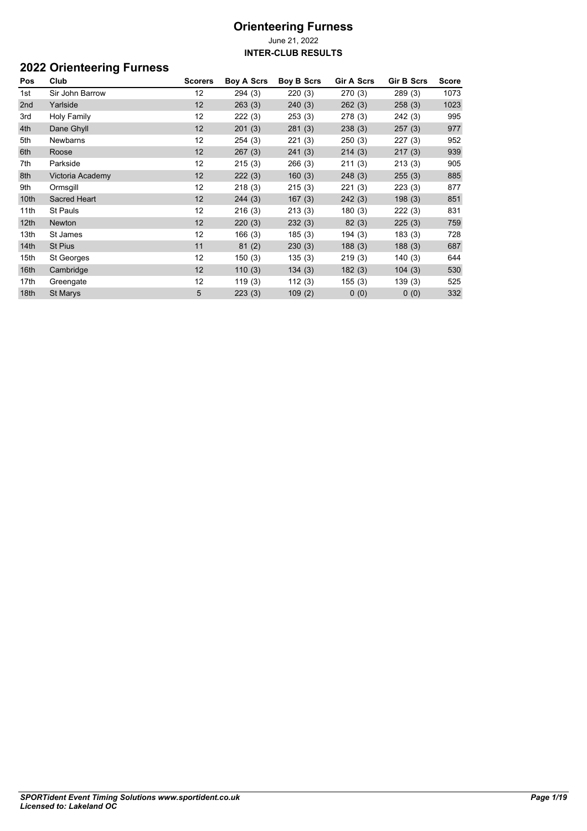## **2022 Orienteering Furness**

| Pos              | Club             | <b>Scorers</b>  | <b>Boy A Scrs</b> | <b>Boy B Scrs</b> | <b>Gir A Scrs</b> | <b>Gir B Scrs</b> | <b>Score</b> |
|------------------|------------------|-----------------|-------------------|-------------------|-------------------|-------------------|--------------|
| 1st              | Sir John Barrow  | 12              | 294(3)            | 220(3)            | 270(3)            | 289(3)            | 1073         |
| 2nd              | Yarlside         | 12              | 263(3)            | 240(3)            | 262(3)            | 258(3)            | 1023         |
| 3rd              | Holy Family      | 12              | 222(3)            | 253(3)            | 278(3)            | 242 (3)           | 995          |
| 4th              | Dane Ghyll       | 12              | 201(3)            | 281(3)            | 238(3)            | 257(3)            | 977          |
| 5th              | Newbarns         | 12 <sup>2</sup> | 254(3)            | 221(3)            | 250(3)            | 227(3)            | 952          |
| 6th              | Roose            | 12              | 267(3)            | 241(3)            | 214(3)            | 217(3)            | 939          |
| 7th              | Parkside         | 12              | 215(3)            | 266(3)            | 211(3)            | 213(3)            | 905          |
| 8th              | Victoria Academy | 12              | 222(3)            | 160(3)            | 248(3)            | 255(3)            | 885          |
| 9th              | Ormsgill         | 12              | 218(3)            | 215(3)            | 221(3)            | 223(3)            | 877          |
| 10th             | Sacred Heart     | 12              | 244(3)            | 167(3)            | 242(3)            | 198(3)            | 851          |
| 11th             | <b>St Pauls</b>  | 12              | 216(3)            | 213(3)            | 180(3)            | 222(3)            | 831          |
| 12 <sub>th</sub> | Newton           | 12              | 220(3)            | 232(3)            | 82(3)             | 225(3)            | 759          |
| 13th             | St James         | 12              | 166(3)            | 185(3)            | 194(3)            | 183(3)            | 728          |
| 14th             | St Pius          | 11              | 81(2)             | 230(3)            | 188(3)            | 188(3)            | 687          |
| 15th             | St Georges       | 12              | 150(3)            | 135(3)            | 219(3)            | 140(3)            | 644          |
| 16th             | Cambridge        | 12              | 110(3)            | 134(3)            | 182(3)            | 104(3)            | 530          |
| 17th             | Greengate        | 12              | 119(3)            | 112(3)            | 155(3)            | 139(3)            | 525          |
| 18th             | St Marys         | 5               | 223(3)            | 109(2)            | 0(0)              | 0(0)              | 332          |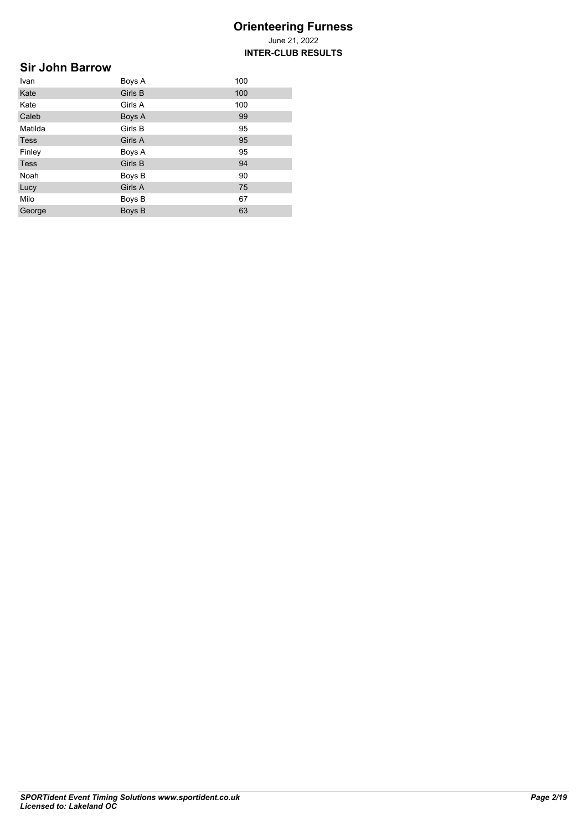## **Sir John Barrow**

| Ivan        | Boys A  | 100 |
|-------------|---------|-----|
| Kate        | Girls B | 100 |
| Kate        | Girls A | 100 |
| Caleb       | Boys A  | 99  |
| Matilda     | Girls B | 95  |
| <b>Tess</b> | Girls A | 95  |
| Finley      | Boys A  | 95  |
| <b>Tess</b> | Girls B | 94  |
| Noah        | Boys B  | 90  |
| Lucy        | Girls A | 75  |
| Milo        | Boys B  | 67  |
| George      | Boys B  | 63  |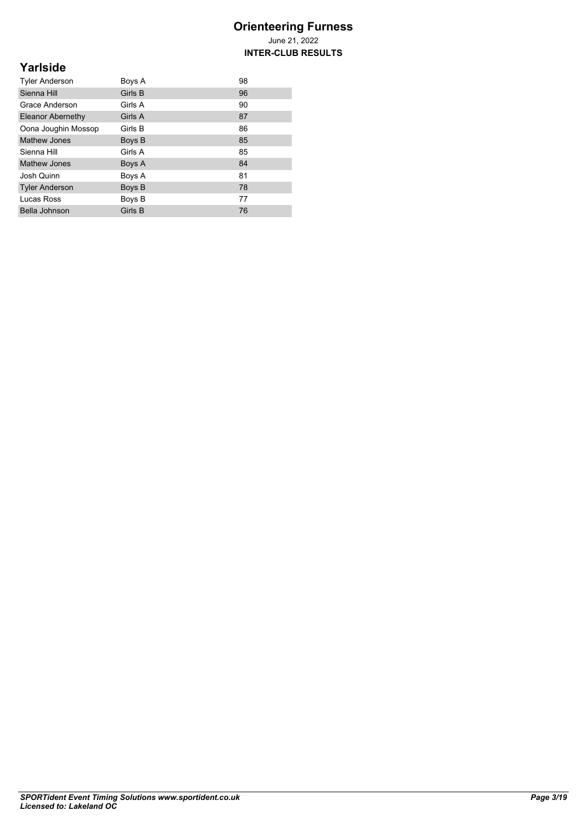**INTER-CLUB RESULTS**

## **Yarlside**

| <b>Tyler Anderson</b>    | Boys A  | 98 |
|--------------------------|---------|----|
| Sienna Hill              | Girls B | 96 |
| Grace Anderson           | Girls A | 90 |
| <b>Eleanor Abernethy</b> | Girls A | 87 |
| Oona Joughin Mossop      | Girls B | 86 |
| <b>Mathew Jones</b>      | Boys B  | 85 |
| Sienna Hill              | Girls A | 85 |
| Mathew Jones             | Boys A  | 84 |
| Josh Quinn               | Boys A  | 81 |
| <b>Tyler Anderson</b>    | Boys B  | 78 |
| Lucas Ross               | Boys B  | 77 |
| Bella Johnson            | Girls B | 76 |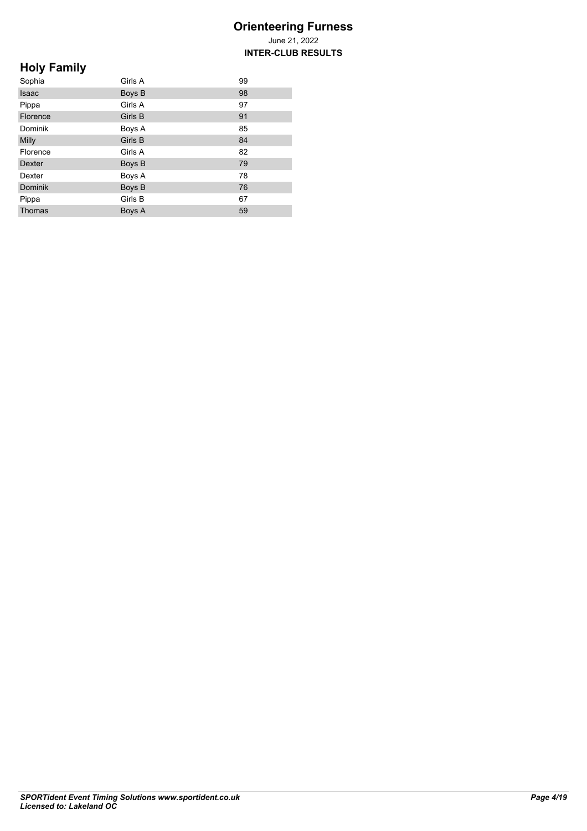**INTER-CLUB RESULTS**

# **Holy Family**

| Sophia         | Girls A | 99 |
|----------------|---------|----|
| <b>Isaac</b>   | Boys B  | 98 |
| Pippa          | Girls A | 97 |
| Florence       | Girls B | 91 |
| Dominik        | Boys A  | 85 |
| Milly          | Girls B | 84 |
| Florence       | Girls A | 82 |
| <b>Dexter</b>  | Boys B  | 79 |
| Dexter         | Boys A  | 78 |
| <b>Dominik</b> | Boys B  | 76 |
| Pippa          | Girls B | 67 |
| Thomas         | Boys A  | 59 |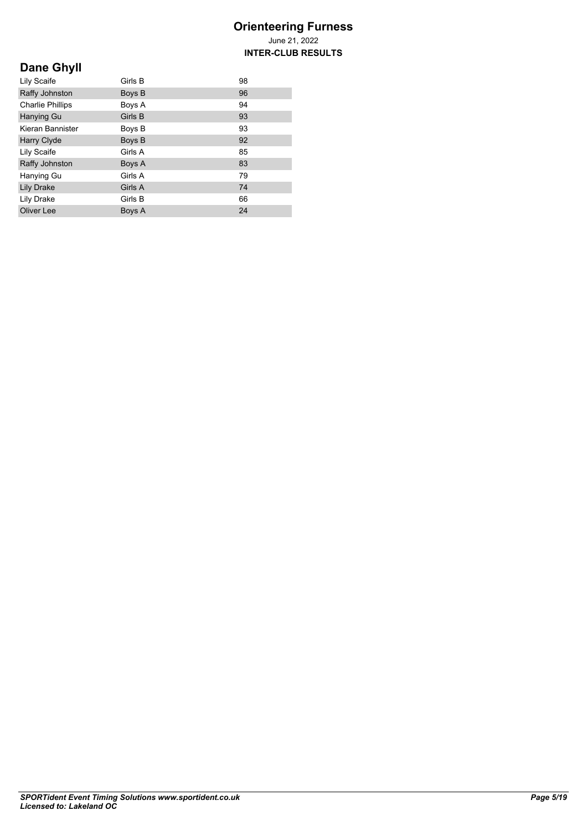# **Dane Ghyll**

| Lily Scaife             | Girls B | 98 |
|-------------------------|---------|----|
| Raffy Johnston          | Boys B  | 96 |
| <b>Charlie Phillips</b> | Boys A  | 94 |
| Hanying Gu              | Girls B | 93 |
| Kieran Bannister        | Boys B  | 93 |
| Harry Clyde             | Boys B  | 92 |
| Lily Scaife             | Girls A | 85 |
| Raffy Johnston          | Boys A  | 83 |
| Hanying Gu              | Girls A | 79 |
| <b>Lily Drake</b>       | Girls A | 74 |
| Lily Drake              | Girls B | 66 |
| Oliver Lee              | Boys A  | 24 |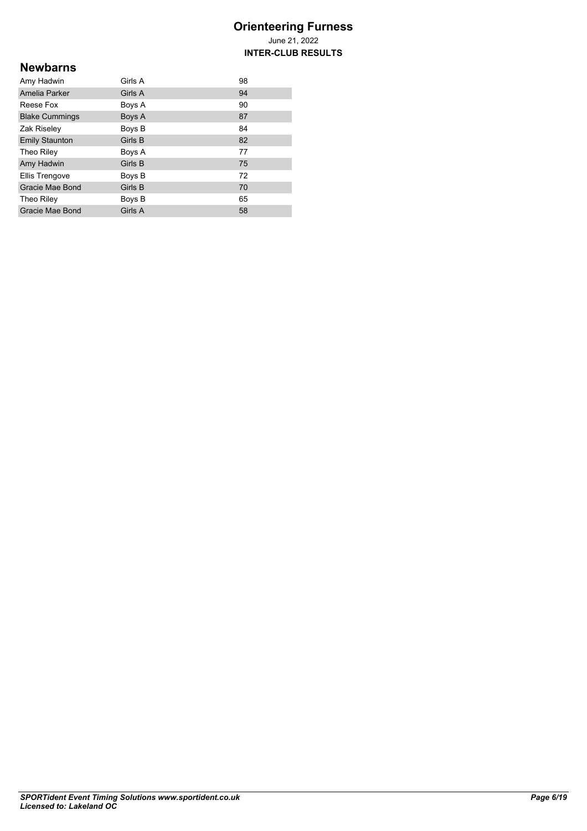**INTER-CLUB RESULTS**

### **Newbarns**

| Amy Hadwin            | Girls A | 98 |
|-----------------------|---------|----|
| Amelia Parker         | Girls A | 94 |
| Reese Fox             | Boys A  | 90 |
| <b>Blake Cummings</b> | Boys A  | 87 |
| Zak Riseley           | Boys B  | 84 |
| <b>Emily Staunton</b> | Girls B | 82 |
| Theo Riley            | Boys A  | 77 |
| Amy Hadwin            | Girls B | 75 |
| Ellis Trengove        | Boys B  | 72 |
| Gracie Mae Bond       | Girls B | 70 |
| Theo Riley            | Boys B  | 65 |
| Gracie Mae Bond       | Girls A | 58 |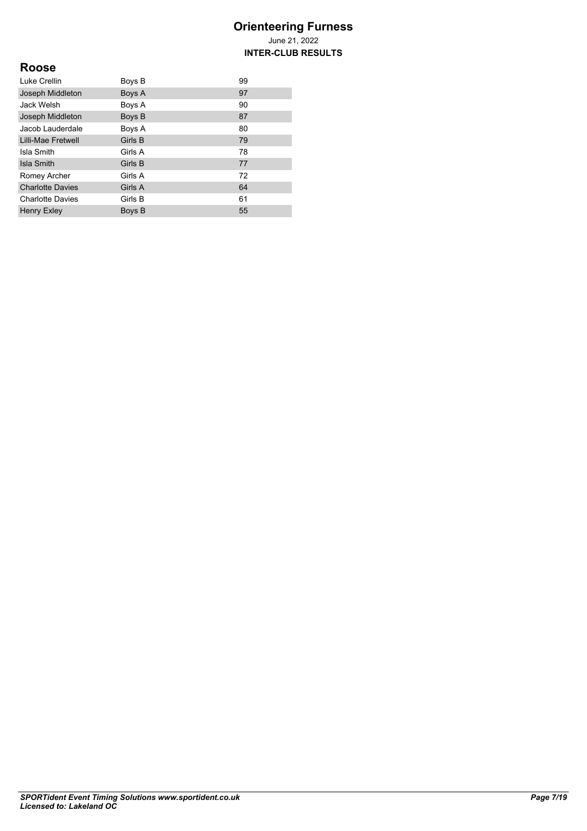**INTER-CLUB RESULTS**

## **Roose**

| Luke Crellin            | Boys B  | 99 |
|-------------------------|---------|----|
| Joseph Middleton        | Boys A  | 97 |
| Jack Welsh              | Boys A  | 90 |
| Joseph Middleton        | Boys B  | 87 |
| Jacob Lauderdale        | Boys A  | 80 |
| Lilli-Mae Fretwell      | Girls B | 79 |
| Isla Smith              | Girls A | 78 |
| Isla Smith              | Girls B | 77 |
| Romey Archer            | Girls A | 72 |
| <b>Charlotte Davies</b> | Girls A | 64 |
| <b>Charlotte Davies</b> | Girls B | 61 |
| <b>Henry Exley</b>      | Boys B  | 55 |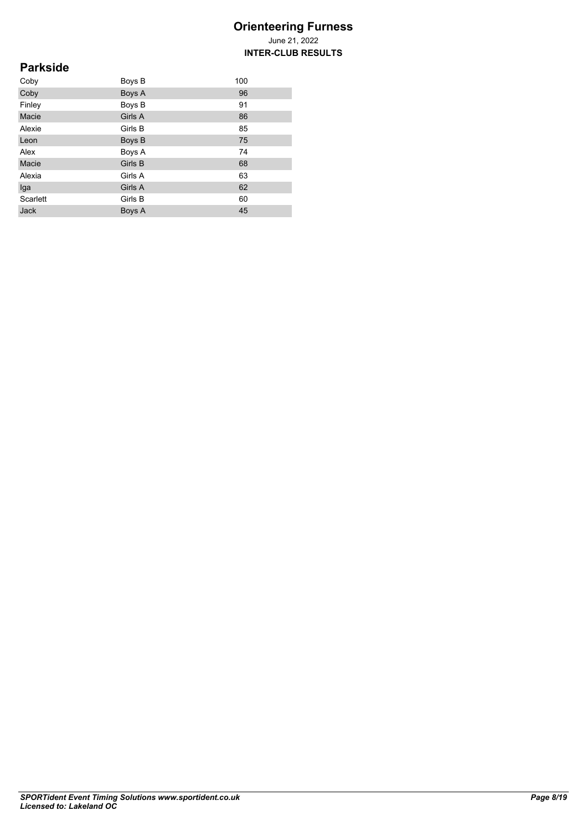## **Parkside**

| Coby        | Boys B  | 100 |
|-------------|---------|-----|
| Coby        | Boys A  | 96  |
| Finley      | Boys B  | 91  |
| Macie       | Girls A | 86  |
| Alexie      | Girls B | 85  |
| Leon        | Boys B  | 75  |
| Alex        | Boys A  | 74  |
| Macie       | Girls B | 68  |
| Alexia      | Girls A | 63  |
| Iga         | Girls A | 62  |
| Scarlett    | Girls B | 60  |
| <b>Jack</b> | Boys A  | 45  |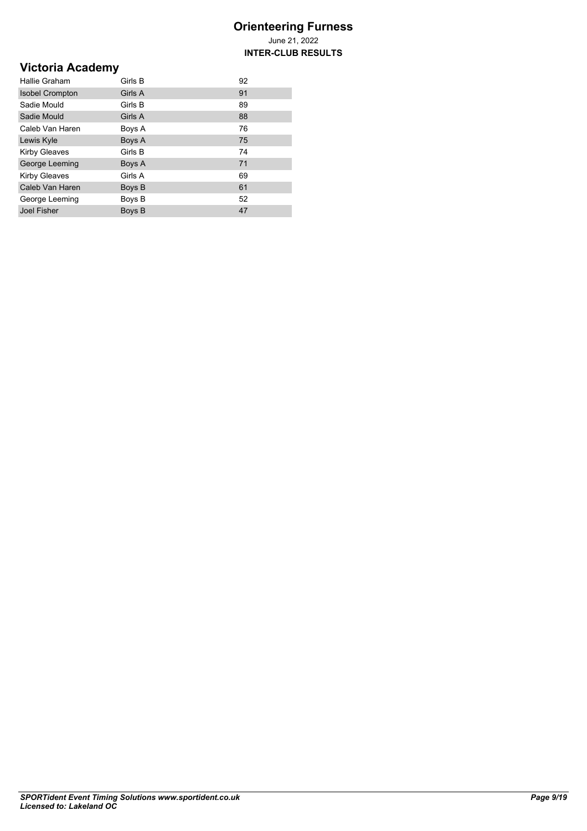**INTER-CLUB RESULTS**

# **Victoria Academy**

| Hallie Graham          | Girls B | 92 |
|------------------------|---------|----|
| <b>Isobel Crompton</b> | Girls A | 91 |
| Sadie Mould            | Girls B | 89 |
| Sadie Mould            | Girls A | 88 |
| Caleb Van Haren        | Boys A  | 76 |
| Lewis Kyle             | Boys A  | 75 |
| <b>Kirby Gleaves</b>   | Girls B | 74 |
| George Leeming         | Boys A  | 71 |
| <b>Kirby Gleaves</b>   | Girls A | 69 |
| Caleb Van Haren        | Boys B  | 61 |
| George Leeming         | Boys B  | 52 |
| <b>Joel Fisher</b>     | Boys B  | 47 |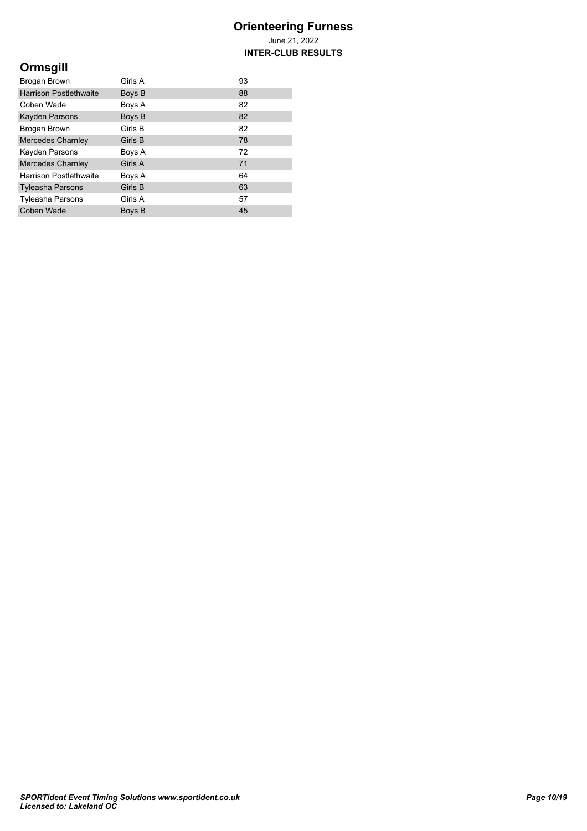**INTER-CLUB RESULTS**

# **Ormsgill**

| Brogan Brown                  | Girls A | 93 |
|-------------------------------|---------|----|
| <b>Harrison Postlethwaite</b> | Boys B  | 88 |
| Coben Wade                    | Boys A  | 82 |
| Kayden Parsons                | Boys B  | 82 |
| Brogan Brown                  | Girls B | 82 |
| <b>Mercedes Charnley</b>      | Girls B | 78 |
| Kayden Parsons                | Boys A  | 72 |
| <b>Mercedes Charnley</b>      | Girls A | 71 |
| <b>Harrison Postlethwaite</b> | Boys A  | 64 |
| <b>Tyleasha Parsons</b>       | Girls B | 63 |
| <b>Tyleasha Parsons</b>       | Girls A | 57 |
| Coben Wade                    | Boys B  | 45 |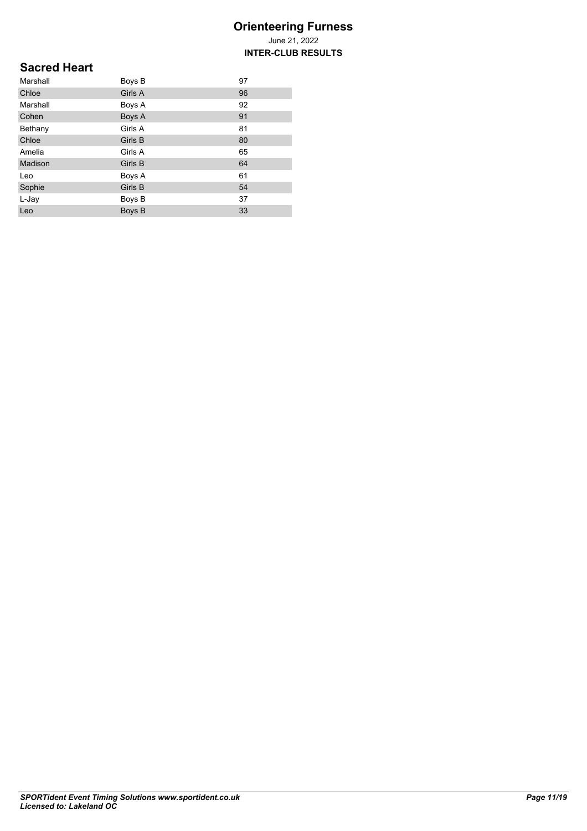June 21, 2022 **INTER-CLUB RESULTS**

## **Sacred Heart**

| Marshall | Boys B  | 97 |
|----------|---------|----|
| Chloe    | Girls A | 96 |
| Marshall | Boys A  | 92 |
| Cohen    | Boys A  | 91 |
| Bethany  | Girls A | 81 |
| Chloe    | Girls B | 80 |
| Amelia   | Girls A | 65 |
| Madison  | Girls B | 64 |
| Leo      | Boys A  | 61 |
| Sophie   | Girls B | 54 |
| L-Jay    | Boys B  | 37 |
| Leo      | Boys B  | 33 |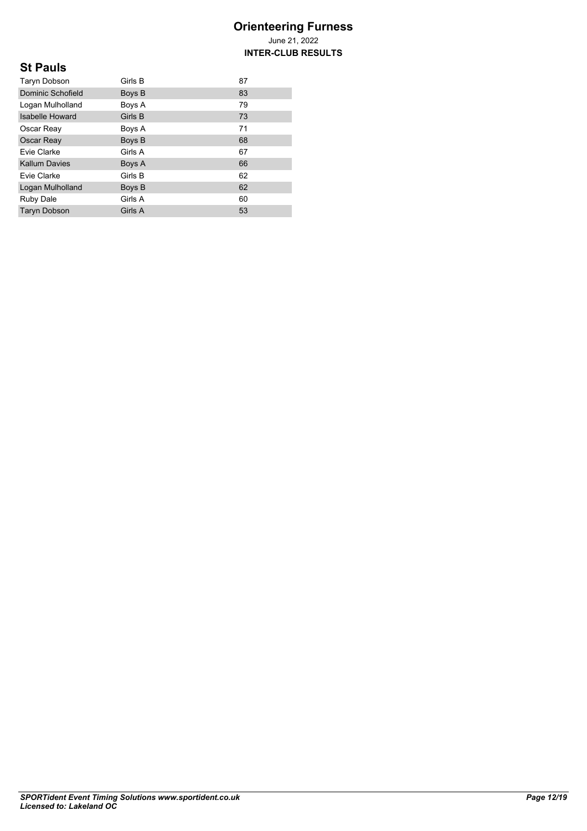June 21, 2022 **INTER-CLUB RESULTS**

## **St Pauls**

| Taryn Dobson           | Girls B | 87 |
|------------------------|---------|----|
| Dominic Schofield      | Boys B  | 83 |
| Logan Mulholland       | Boys A  | 79 |
| <b>Isabelle Howard</b> | Girls B | 73 |
| Oscar Reay             | Boys A  | 71 |
| Oscar Reay             | Boys B  | 68 |
| Evie Clarke            | Girls A | 67 |
| <b>Kallum Davies</b>   | Boys A  | 66 |
| Evie Clarke            | Girls B | 62 |
| Logan Mulholland       | Boys B  | 62 |
| Ruby Dale              | Girls A | 60 |
| <b>Taryn Dobson</b>    | Girls A | 53 |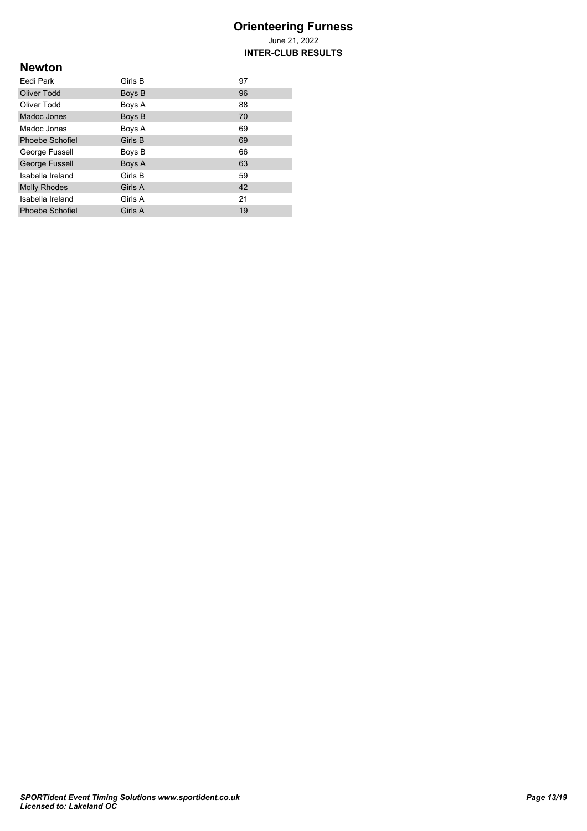**INTER-CLUB RESULTS**

## **Newton**

| Eedi Park           | Girls B | 97 |
|---------------------|---------|----|
| Oliver Todd         | Boys B  | 96 |
| Oliver Todd         | Boys A  | 88 |
| Madoc Jones         | Boys B  | 70 |
| Madoc Jones         | Boys A  | 69 |
| Phoebe Schofiel     | Girls B | 69 |
| George Fussell      | Boys B  | 66 |
| George Fussell      | Boys A  | 63 |
| Isabella Ireland    | Girls B | 59 |
| <b>Molly Rhodes</b> | Girls A | 42 |
| Isabella Ireland    | Girls A | 21 |
| Phoebe Schofiel     | Girls A | 19 |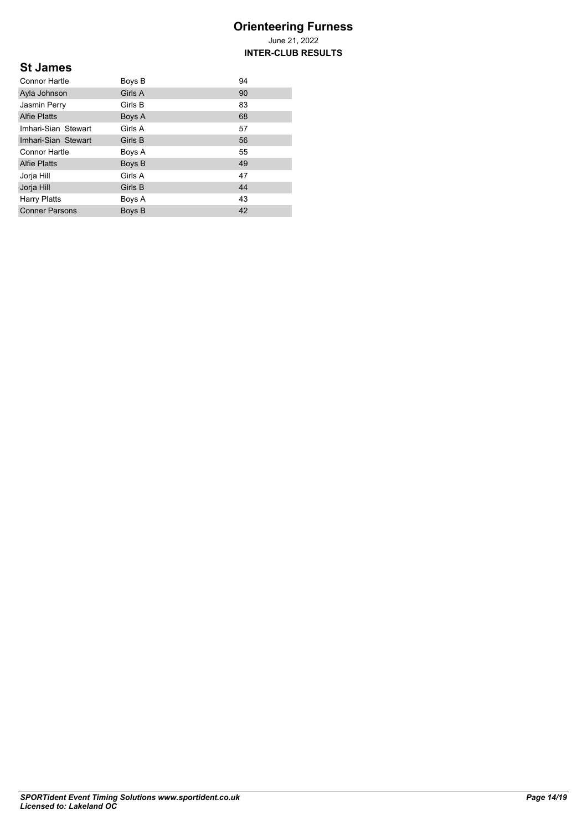**INTER-CLUB RESULTS**

## **St James**

| <b>Connor Hartle</b>  | Boys B  | 94 |
|-----------------------|---------|----|
| Ayla Johnson          | Girls A | 90 |
| Jasmin Perry          | Girls B | 83 |
| <b>Alfie Platts</b>   | Boys A  | 68 |
| Imhari-Sian Stewart   | Girls A | 57 |
| Imhari-Sian Stewart   | Girls B | 56 |
| <b>Connor Hartle</b>  | Boys A  | 55 |
| <b>Alfie Platts</b>   | Boys B  | 49 |
| Jorja Hill            | Girls A | 47 |
| Jorja Hill            | Girls B | 44 |
| <b>Harry Platts</b>   | Boys A  | 43 |
| <b>Conner Parsons</b> | Boys B  | 42 |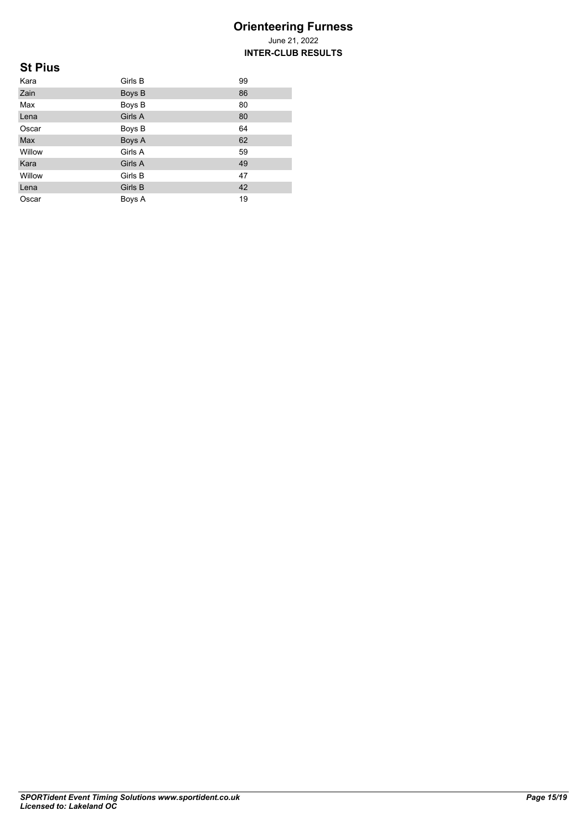June 21, 2022 **INTER-CLUB RESULTS**

## **St Pius**

| Kara   | Girls B | 99 |
|--------|---------|----|
| Zain   | Boys B  | 86 |
| Max    | Boys B  | 80 |
| Lena   | Girls A | 80 |
| Oscar  | Boys B  | 64 |
| Max    | Boys A  | 62 |
| Willow | Girls A | 59 |
| Kara   | Girls A | 49 |
| Willow | Girls B | 47 |
| Lena   | Girls B | 42 |
| Oscar  | Boys A  | 19 |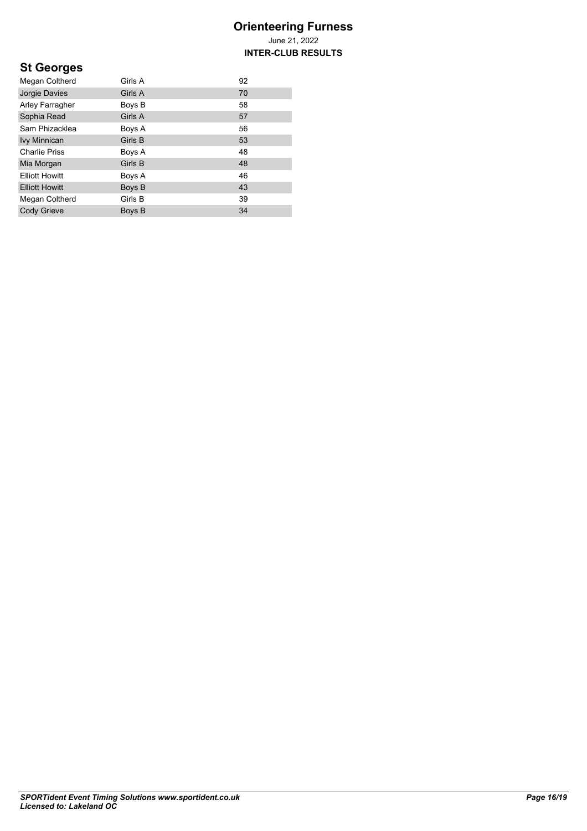**INTER-CLUB RESULTS**

# **St Georges**

| Megan Coltherd        | Girls A | 92 |
|-----------------------|---------|----|
| Jorgie Davies         | Girls A | 70 |
| Arley Farragher       | Boys B  | 58 |
| Sophia Read           | Girls A | 57 |
| Sam Phizacklea        | Boys A  | 56 |
| <b>Ivy Minnican</b>   | Girls B | 53 |
| <b>Charlie Priss</b>  | Boys A  | 48 |
| Mia Morgan            | Girls B | 48 |
| <b>Elliott Howitt</b> | Boys A  | 46 |
| <b>Elliott Howitt</b> | Boys B  | 43 |
| Megan Coltherd        | Girls B | 39 |
| Cody Grieve           | Boys B  | 34 |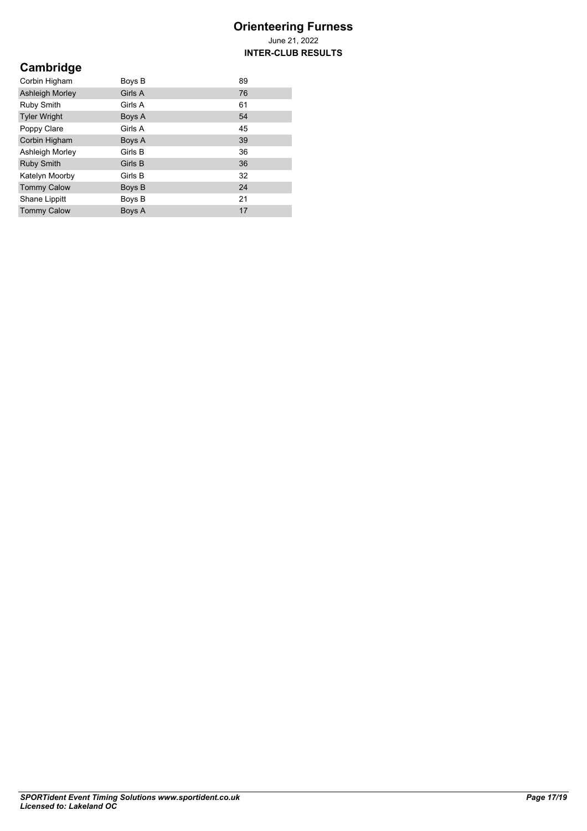**INTER-CLUB RESULTS**

# **Cambridge**

| Corbin Higham          | Boys B  | 89 |
|------------------------|---------|----|
| <b>Ashleigh Morley</b> | Girls A | 76 |
| Ruby Smith             | Girls A | 61 |
| <b>Tyler Wright</b>    | Boys A  | 54 |
| Poppy Clare            | Girls A | 45 |
| Corbin Higham          | Boys A  | 39 |
| Ashleigh Morley        | Girls B | 36 |
| <b>Ruby Smith</b>      | Girls B | 36 |
| Katelyn Moorby         | Girls B | 32 |
| <b>Tommy Calow</b>     | Boys B  | 24 |
| Shane Lippitt          | Boys B  | 21 |
| <b>Tommy Calow</b>     | Boys A  | 17 |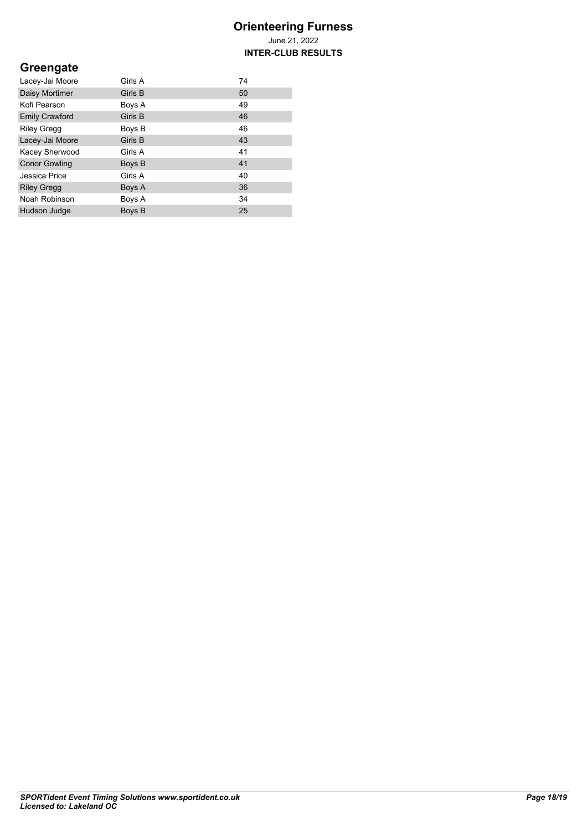**INTER-CLUB RESULTS**

## **Greengate**

| Lacey-Jai Moore       | Girls A | 74 |
|-----------------------|---------|----|
| Daisy Mortimer        | Girls B | 50 |
| Kofi Pearson          | Boys A  | 49 |
| <b>Emily Crawford</b> | Girls B | 46 |
| <b>Riley Gregg</b>    | Boys B  | 46 |
| Lacey-Jai Moore       | Girls B | 43 |
| Kacey Sherwood        | Girls A | 41 |
| <b>Conor Gowling</b>  | Boys B  | 41 |
| Jessica Price         | Girls A | 40 |
| <b>Riley Gregg</b>    | Boys A  | 36 |
| Noah Robinson         | Boys A  | 34 |
| Hudson Judge          | Boys B  | 25 |